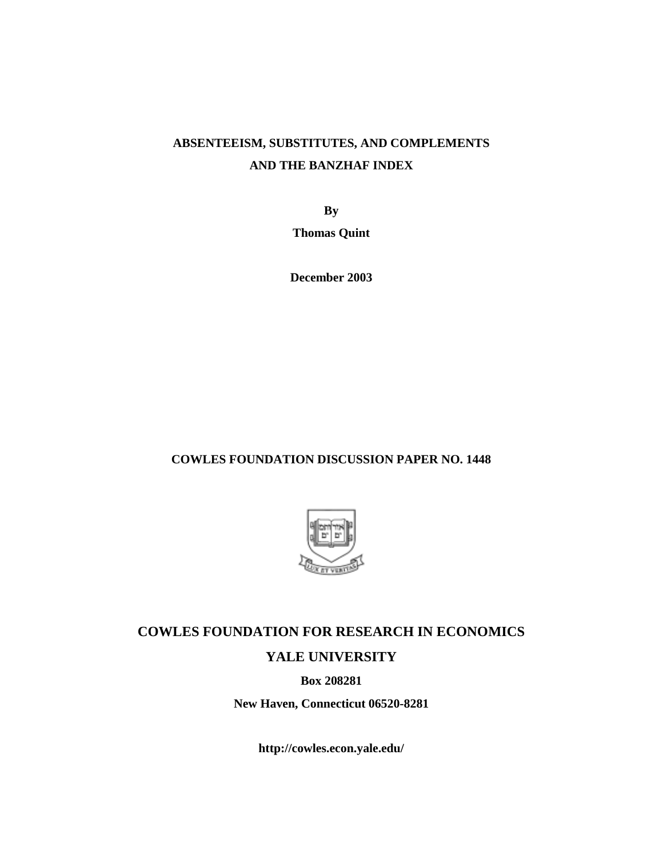# **ABSENTEEISM, SUBSTITUTES, AND COMPLEMENTS AND THE BANZHAF INDEX**

**By** 

**Thomas Quint** 

**December 2003** 

### **COWLES FOUNDATION DISCUSSION PAPER NO. 1448**



# **COWLES FOUNDATION FOR RESEARCH IN ECONOMICS YALE UNIVERSITY**

**Box 208281** 

**New Haven, Connecticut 06520-8281** 

**http://cowles.econ.yale.edu/**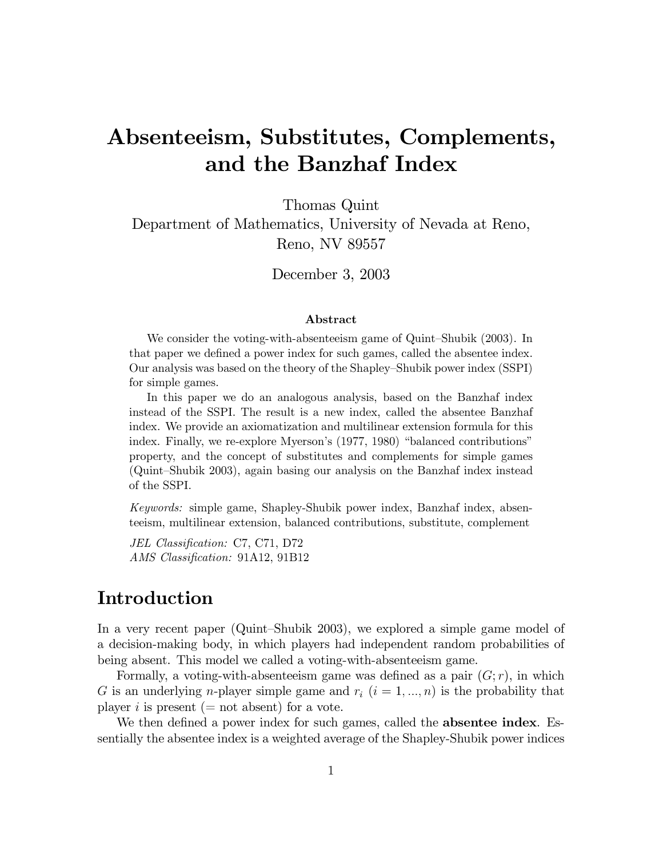# Absenteeism, Substitutes, Complements, and the Banzhaf Index

Thomas Quint Department of Mathematics, University of Nevada at Reno, Reno, NV 89557

December  $3, 2003$ 

### Abstract

We consider the voting-with-absenteeism game of Quint-Shubik (2003). In that paper we defined a power index for such games, called the absentee index. Our analysis was based on the theory of the Shapley–Shubik power index (SSPI) for simple games.

In this paper we do an analogous analysis, based on the Banzhaf index instead of the SSPI. The result is a new index, called the absentee Banzhaf index. We provide an axiomatization and multilinear extension formula for this index. Finally, we re-explore Myerson's (1977, 1980) "balanced contributions" property, and the concept of substitutes and complements for simple games (Quint-Shubik 2003), again basing our analysis on the Banzhaf index instead of the SSPI.

*Keywords:* simple game, Shapley-Shubik power index, Banzhaf index, absenteeism, multilinear extension, balanced contributions, substitute, complement

JEL Classification: C7, C71, D72 AMS Classification: 91A12, 91B12

## Introduction

In a very recent paper (Quint-Shubik 2003), we explored a simple game model of a decision-making body, in which players had independent random probabilities of being absent. This model we called a voting-with-absenteeism game.

Formally, a voting-with-absenteeism game was defined as a pair  $(G; r)$ , in which G is an underlying *n*-player simple game and  $r_i$   $(i = 1, ..., n)$  is the probability that player i is present (= not absent) for a vote.

We then defined a power index for such games, called the **absentee index**. Essentially the absentee index is a weighted average of the Shapley-Shubik power indices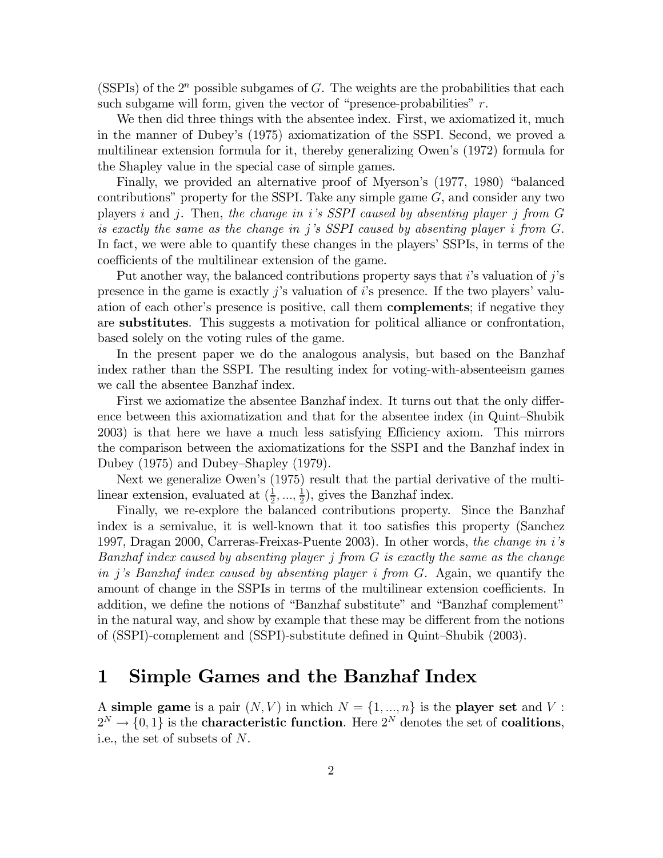(SSPIs) of the  $2^n$  possible subgames of G. The weights are the probabilities that each such subgame will form, given the vector of "presence-probabilities"  $r$ .

We then did three things with the absentee index. First, we axiomatized it, much in the manner of Dubey's (1975) axiomatization of the SSPI. Second, we proved a multilinear extension formula for it, thereby generalizing Owen's (1972) formula for the Shapley value in the special case of simple games.

Finally, we provided an alternative proof of Myerson's (1977, 1980) "balanced contributions" property for the SSPI. Take any simple game  $G$ , and consider any two players i and j. Then, the change in i's SSPI caused by absenting player j from  $G$ is exactly the same as the change in j's SSPI caused by absenting player i from G. In fact, we were able to quantify these changes in the players' SSPIs, in terms of the coefficients of the multilinear extension of the game.

Put another way, the balanced contributions property says that i's valuation of  $j$ 's presence in the game is exactly  $j$ 's valuation of  $i$ 's presence. If the two players' valuation of each other's presence is positive, call them **complements**; if negative they are substitutes. This suggests a motivation for political alliance or confrontation, based solely on the voting rules of the game.

In the present paper we do the analogous analysis, but based on the Banzhaf index rather than the SSPI. The resulting index for voting-with-absenteeism games we call the absentee Banzhaf index.

First we axiomatize the absentee Banzhaf index. It turns out that the only difference between this axiomatization and that for the absentee index (in Quint-Shubik 2003) is that here we have a much less satisfying Efficiency axiom. This mirrors the comparison between the axiomatizations for the SSPI and the Banzhaf index in Dubey (1975) and Dubey-Shapley (1979).

Next we generalize Owen's (1975) result that the partial derivative of the multilinear extension, evaluated at  $(\frac{1}{2}, \ldots, \frac{1}{2})$ , gives the Banzhaf index.

Finally, we re-explore the balanced contributions property. Since the Banzhaf index is a semivalue, it is well-known that it too satisfies this property (Sanchez 1997, Dragan 2000, Carreras-Freixas-Puente 2003). In other words, the change in i's Banzhaf index caused by absenting player j from G is exactly the same as the change in j's Banzhaf index caused by absenting player i from G. Again, we quantify the amount of change in the SSPIs in terms of the multilinear extension coefficients. In addition, we define the notions of "Banzhaf substitute" and "Banzhaf complement" in the natural way, and show by example that these may be different from the notions of (SSPI)-complement and (SSPI)-substitute defined in Quint-Shubik (2003).

### Simple Games and the Banzhaf Index 1

A simple game is a pair  $(N, V)$  in which  $N = \{1, ..., n\}$  is the player set and V:  $2^N \rightarrow \{0,1\}$  is the **characteristic function**. Here  $2^N$  denotes the set of **coalitions**, i.e., the set of subsets of  $N$ .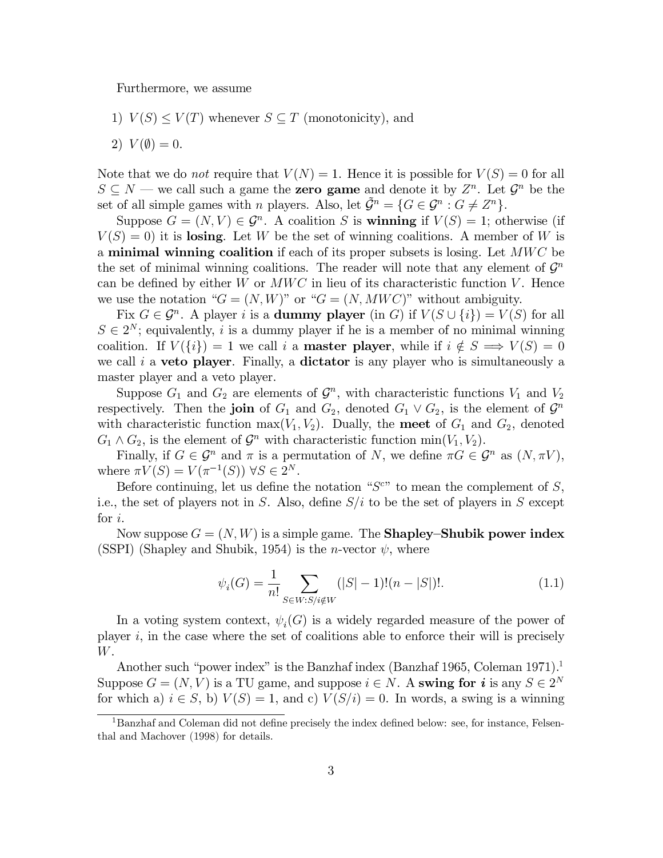Furthermore, we assume

- 1)  $V(S) \leq V(T)$  whenever  $S \subseteq T$  (monotonicity), and
- 2)  $V(\emptyset) = 0.$

Note that we do not require that  $V(N) = 1$ . Hence it is possible for  $V(S) = 0$  for all  $S \subseteq N$  — we call such a game the **zero game** and denote it by  $Z^n$ . Let  $\mathcal{G}^n$  be the set of all simple games with *n* players. Also, let  $\tilde{\mathcal{G}}^n = \{G \in \mathcal{G}^n : G \neq Z^n\}.$ 

Suppose  $G = (N, V) \in \mathcal{G}^n$ . A coalition S is **winning** if  $V(S) = 1$ ; otherwise (if  $V(S) = 0$ ) it is losing. Let W be the set of winning coalitions. A member of W is a minimal winning coalition if each of its proper subsets is losing. Let  $MWC$  be the set of minimal winning coalitions. The reader will note that any element of  $\mathcal{G}^n$ can be defined by either W or  $MWC$  in lieu of its characteristic function V. Hence we use the notation " $G = (N, W)$ " or " $G = (N, MWC)$ " without ambiguity.

Fix  $G \in \mathcal{G}^n$ . A player i is a **dummy player** (in G) if  $V(S \cup \{i\}) = V(S)$  for all  $S \in 2^N$ ; equivalently, *i* is a dummy player if he is a member of no minimal winning coalition. If  $V({i}) = 1$  we call i a **master player**, while if  $i \notin S \implies V(S) = 0$ we call i a veto player. Finally, a dictator is any player who is simultaneously a master player and a veto player.

Suppose  $G_1$  and  $G_2$  are elements of  $\mathcal{G}^n$ , with characteristic functions  $V_1$  and  $V_2$ respectively. Then the join of  $G_1$  and  $G_2$ , denoted  $G_1 \vee G_2$ , is the element of  $\mathcal{G}^n$ with characteristic function max( $V_1, V_2$ ). Dually, the meet of  $G_1$  and  $G_2$ , denoted  $G_1 \wedge G_2$ , is the element of  $\mathcal{G}^n$  with characteristic function min $(V_1, V_2)$ .

Finally, if  $G \in \mathcal{G}^n$  and  $\pi$  is a permutation of N, we define  $\pi G \in \mathcal{G}^n$  as  $(N, \pi V)$ , where  $\pi V(S) = V(\pi^{-1}(S)) \ \forall S \in 2^N$ .

Before continuing, let us define the notation " $S^{c}$ " to mean the complement of S, i.e., the set of players not in S. Also, define  $S/i$  to be the set of players in S except for  $i$ .

Now suppose  $G = (N, W)$  is a simple game. The **Shapley–Shubik power index** (SSPI) (Shapley and Shubik, 1954) is the *n*-vector  $\psi$ , where

$$
\psi_i(G) = \frac{1}{n!} \sum_{S \in W: S/i \notin W} (|S| - 1)!(n - |S|)!.
$$
\n(1.1)

In a voting system context,  $\psi_i(G)$  is a widely regarded measure of the power of player  $i$ , in the case where the set of coalitions able to enforce their will is precisely W.

Another such "power index" is the Banzhaf index (Banzhaf 1965, Coleman 1971). Suppose  $G = (N, V)$  is a TU game, and suppose  $i \in N$ . A swing for i is any  $S \in 2^N$ for which a)  $i \in S$ , b)  $V(S) = 1$ , and c)  $V(S/i) = 0$ . In words, a swing is a winning

<sup>&</sup>lt;sup>1</sup>Banzhaf and Coleman did not define precisely the index defined below: see, for instance, Felsenthal and Machover (1998) for details.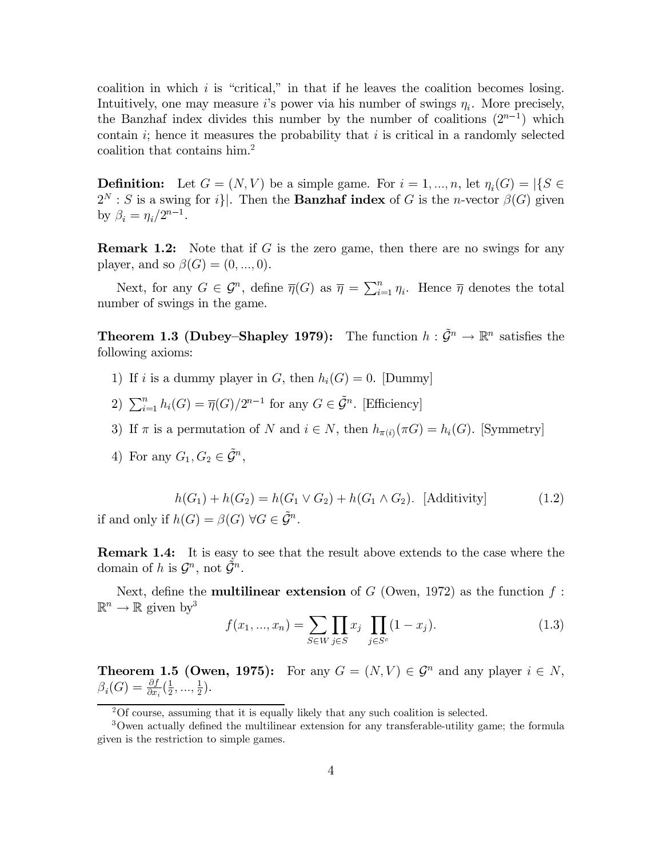coalition in which  $i$  is "critical," in that if he leaves the coalition becomes losing. Intuitively, one may measure *i*'s power via his number of swings  $\eta_i$ . More precisely, the Banzhaf index divides this number by the number of coalitions  $(2^{n-1})$  which contain i; hence it measures the probability that i is critical in a randomly selected coalition that contains him.<sup>2</sup>

**Definition:** Let  $G = (N, V)$  be a simple game. For  $i = 1, ..., n$ , let  $\eta_i(G) = |\{S \in$  $2^N : S$  is a swing for i. Then the **Banzhaf index** of G is the *n*-vector  $\beta(G)$  given by  $\beta_i = \eta_i / 2^{n-1}$ .

**Remark 1.2:** Note that if  $G$  is the zero game, then there are no swings for any player, and so  $\beta(G) = (0, ..., 0)$ .

Next, for any  $G \in \mathcal{G}^n$ , define  $\overline{\eta}(G)$  as  $\overline{\eta} = \sum_{i=1}^n \eta_i$ . Hence  $\overline{\eta}$  denotes the total number of swings in the game.

**Theorem 1.3 (Dubey–Shapley 1979):** The function  $h : \tilde{\mathcal{G}}^n \to \mathbb{R}^n$  satisfies the following axioms:

- 1) If i is a dummy player in G, then  $h_i(G) = 0$ . Dummy
- 2)  $\sum_{i=1}^{n} h_i(G) = \overline{\eta}(G)/2^{n-1}$  for any  $G \in \tilde{\mathcal{G}}^n$ . [Efficiency]
- 3) If  $\pi$  is a permutation of N and  $i \in N$ , then  $h_{\pi(i)}(\pi G) = h_i(G)$ . [Symmetry]
- 4) For any  $G_1, G_2 \in \tilde{\mathcal{G}}^n$ ,

$$
h(G_1) + h(G_2) = h(G_1 \vee G_2) + h(G_1 \wedge G_2). \text{ [Additivity]}
$$
\nif and only if 

\n
$$
h(G) = \beta(G) \ \forall G \in \tilde{\mathcal{G}}^n.
$$
\n(1.2)

**Remark 1.4:** It is easy to see that the result above extends to the case where the domain of h is  $\mathcal{G}^n$ , not  $\mathcal{G}^n$ .

Next, define the **multilinear extension** of  $G$  (Owen, 1972) as the function  $f$ :  $\mathbb{R}^n \to \mathbb{R}$  given by<sup>3</sup>

$$
f(x_1, ..., x_n) = \sum_{S \in W} \prod_{j \in S} x_j \prod_{j \in S^c} (1 - x_j).
$$
 (1.3)

**Theorem 1.5 (Owen, 1975):** For any  $G = (N, V) \in \mathcal{G}^n$  and any player  $i \in N$ ,  $\beta_i(G) = \frac{\partial f}{\partial x_i}(\frac{1}{2}, ..., \frac{1}{2}).$ 

 $^{2}$ Of course, assuming that it is equally likely that any such coalition is selected.

<sup>&</sup>lt;sup>3</sup>Owen actually defined the multilinear extension for any transferable-utility game; the formula given is the restriction to simple games.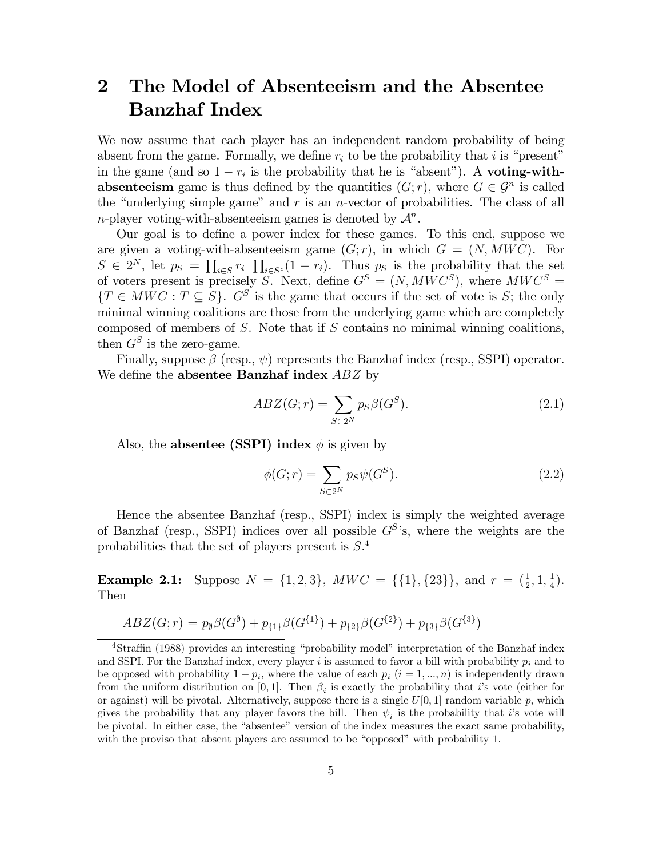### The Model of Absenteeism and the Absentee  $\overline{2}$ **Banzhaf Index**

We now assume that each player has an independent random probability of being absent from the game. Formally, we define  $r_i$  to be the probability that i is "present" in the game (and so  $1 - r_i$  is the probability that he is "absent"). A **voting-withabsenteeism** game is thus defined by the quantities  $(G; r)$ , where  $G \in \mathcal{G}^n$  is called the "underlying simple game" and  $r$  is an *n*-vector of probabilities. The class of all *n*-player voting-with-absenteeism games is denoted by  $\mathcal{A}^n$ .

Our goal is to define a power index for these games. To this end, suppose we are given a voting-with-absenteeism game  $(G; r)$ , in which  $G = (N, MWC)$ . For  $S \in 2^N$ , let  $p_S = \prod_{i \in S} r_i \prod_{i \in S^c} (1 - r_i)$ . Thus  $p_S$  is the probability that the set of voters present is precisely S. Next, define  $G^S = (N, MWC^S)$ , where  $MWC^S =$  ${T \in MWC : T \subseteq S}$ .  $G^S$  is the game that occurs if the set of vote is S; the only minimal winning coalitions are those from the underlying game which are completely composed of members of  $S$ . Note that if  $S$  contains no minimal winning coalitions, then  $G^S$  is the zero-game.

Finally, suppose  $\beta$  (resp.,  $\psi$ ) represents the Banzhaf index (resp., SSPI) operator. We define the **absentee Banzhaf index**  $ABZ$  by

$$
ABZ(G;r) = \sum_{S \in 2^N} p_S \beta(G^S). \tag{2.1}
$$

Also, the absentee (SSPI) index  $\phi$  is given by

$$
\phi(G;r) = \sum_{S \in 2^N} p_S \psi(G^S). \tag{2.2}
$$

Hence the absentee Banzhaf (resp., SSPI) index is simply the weighted average of Banzhaf (resp., SSPI) indices over all possible  $G^{S}$ 's, where the weights are the probabilities that the set of players present is  $S^4$ .

**Example 2.1:** Suppose  $N = \{1, 2, 3\}$ ,  $MWC = \{\{1\}, \{23\}\}\$ , and  $r = (\frac{1}{2}, 1, \frac{1}{4})$ . Then

$$
ABZ(G;r) = p_{\emptyset}\beta(G^{\emptyset}) + p_{\{1\}}\beta(G^{\{1\}}) + p_{\{2\}}\beta(G^{\{2\}}) + p_{\{3\}}\beta(G^{\{3\}})
$$

 $4$ Straffin (1988) provides an interesting "probability model" interpretation of the Banzhaf index and SSPI. For the Banzhaf index, every player i is assumed to favor a bill with probability  $p_i$  and to be opposed with probability  $1 - p_i$ , where the value of each  $p_i$   $(i = 1, ..., n)$  is independently drawn from the uniform distribution on [0,1]. Then  $\beta_i$  is exactly the probability that i's vote (either for or against) will be pivotal. Alternatively, suppose there is a single  $U[0,1]$  random variable p, which gives the probability that any player favors the bill. Then  $\psi_i$  is the probability that *i*'s vote will be pivotal. In either case, the "absentee" version of the index measures the exact same probability, with the proviso that absent players are assumed to be "opposed" with probability 1.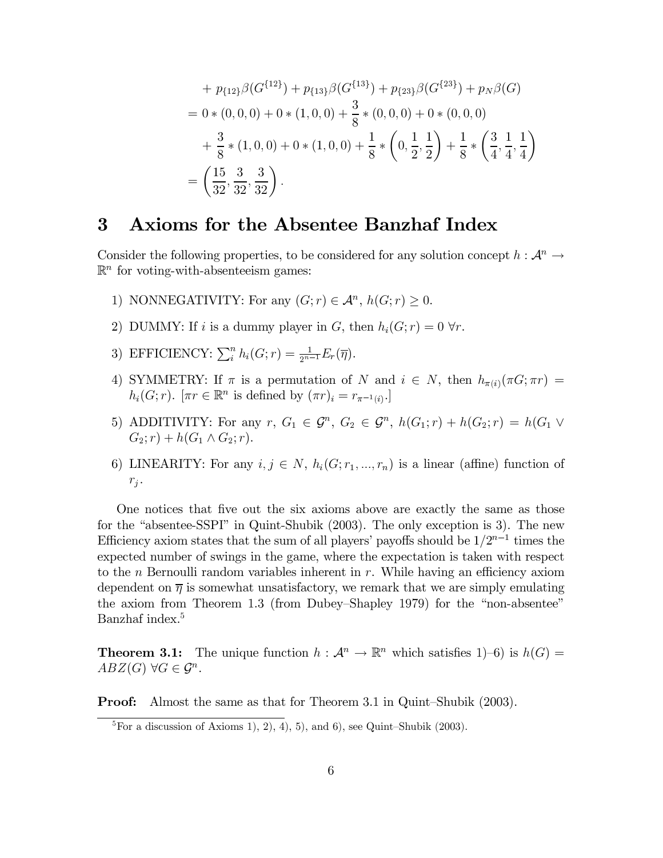+ 
$$
p_{\{12\}}\beta(G^{\{12\}}) + p_{\{13\}}\beta(G^{\{13\}}) + p_{\{23\}}\beta(G^{\{23\}}) + p_N\beta(G)
$$
  
\n= 0 \* (0, 0, 0) + 0 \* (1, 0, 0) +  $\frac{3}{8}$  \* (0, 0, 0) + 0 \* (0, 0, 0)  
\n+  $\frac{3}{8}$  \* (1, 0, 0) + 0 \* (1, 0, 0) +  $\frac{1}{8}$  \*  $\left(0, \frac{1}{2}, \frac{1}{2}\right)$  +  $\frac{1}{8}$  \*  $\left(\frac{3}{4}, \frac{1}{4}, \frac{1}{4}\right)$   
\n=  $\left(\frac{15}{32}, \frac{3}{32}, \frac{3}{32}\right)$ .

#### 3 Axioms for the Absentee Banzhaf Index

Consider the following properties, to be considered for any solution concept  $h: \mathcal{A}^n \to$  $\mathbb{R}^n$  for voting-with-absenteeism games:

- 1) NONNEGATIVITY: For any  $(G; r) \in \mathcal{A}^n$ ,  $h(G; r) > 0$ .
- 2) DUMMY: If i is a dummy player in G, then  $h_i(G; r) = 0 \,\forall r$ .
- 3) EFFICIENCY:  $\sum_{i}^{n} h_i(G; r) = \frac{1}{2^{n-1}} E_r(\overline{\eta}).$
- 4) SYMMETRY: If  $\pi$  is a permutation of N and  $i \in N$ , then  $h_{\pi(i)}(\pi G; \pi r)$  =  $h_i(G;r)$ .  $[\pi r \in \mathbb{R}^n$  is defined by  $(\pi r)_i = r_{\pi^{-1}(i)}$ .
- 5) ADDITIVITY: For any  $r, G_1 \in \mathcal{G}^n, G_2 \in \mathcal{G}^n, h(G_1; r) + h(G_2; r) = h(G_1 \vee$  $G_2; r) + h(G_1 \wedge G_2; r).$
- 6) LINEARITY: For any  $i, j \in N$ ,  $h_i(G; r_1, ..., r_n)$  is a linear (affine) function of  $r_j$ .

One notices that five out the six axioms above are exactly the same as those for the "absentee-SSPI" in Quint-Shubik (2003). The only exception is 3). The new Efficiency axiom states that the sum of all players' payoffs should be  $1/2^{n-1}$  times the expected number of swings in the game, where the expectation is taken with respect to the *n* Bernoulli random variables inherent in  $r$ . While having an efficiency axiom dependent on  $\overline{\eta}$  is somewhat unsatisfactory, we remark that we are simply emulating the axiom from Theorem 1.3 (from Dubey–Shapley 1979) for the "non-absentee" Banzhaf index.<sup>5</sup>

**Theorem 3.1:** The unique function  $h : \mathcal{A}^n \to \mathbb{R}^n$  which satisfies 1–6) is  $h(G)$  =  $ABZ(G)$   $\forall G \in \mathcal{G}^n$ .

Proof: Almost the same as that for Theorem 3.1 in Quint-Shubik (2003).

 ${}^{5}$ For a discussion of Axioms 1, 2, 4, 5, and 6, see Quint-Shubik (2003).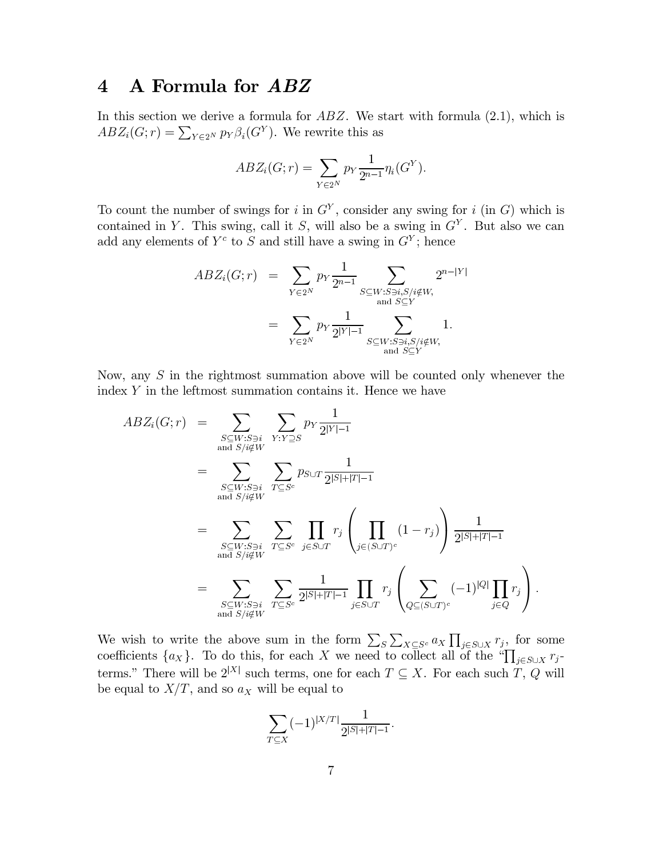### A Formula for ABZ  $\overline{\mathbf{4}}$

In this section we derive a formula for  $ABZ$ . We start with formula  $(2.1)$ , which is  $ABZ_i(G;r) = \sum_{Y \in 2^N} p_Y \beta_i(G^Y)$ . We rewrite this as

$$
ABZ_i(G;r) = \sum_{Y \in 2^N} p_Y \frac{1}{2^{n-1}} \eta_i(G^Y).
$$

To count the number of swings for i in  $G<sup>Y</sup>$ , consider any swing for i (in G) which is contained in Y. This swing, call it S, will also be a swing in  $G<sup>Y</sup>$ . But also we can add any elements of  $Y^c$  to S and still have a swing in  $G^Y$ ; hence

$$
ABZ_i(G;r) = \sum_{Y \in 2^N} p_Y \frac{1}{2^{n-1}} \sum_{\substack{S \subseteq W : S \ni i, S/i \notin W, \\ \text{and } S \subseteq Y}} 2^{n-|Y|}
$$
  
= 
$$
\sum_{Y \in 2^N} p_Y \frac{1}{2^{|Y|-1}} \sum_{\substack{S \subseteq W : S \ni i, S/i \notin W, \\ \text{and } S \subseteq Y}} 1.
$$

Now, any  $S$  in the rightmost summation above will be counted only whenever the index Y in the leftmost summation contains it. Hence we have

$$
ABZ_i(G;r) = \sum_{\substack{S \subseteq W:S \ni i \\ \text{and } S/i \notin W}} \sum_{Y:Y \supseteq S} p_Y \frac{1}{2^{|Y|-1}}
$$
  
\n
$$
= \sum_{\substack{S \subseteq W:S \ni i \\ \text{and } S/i \notin W}} \sum_{T \subseteq S^c} p_{S \cup T} \frac{1}{2^{|S|+|T|-1}}
$$
  
\n
$$
= \sum_{\substack{S \subseteq W:S \ni i \\ \text{and } S/i \notin W}} \sum_{T \subseteq S^c} \prod_{j \in S \cup T} r_j \left( \prod_{j \in (S \cup T)^c} (1-r_j) \right) \frac{1}{2^{|S|+|T|-1}}
$$
  
\n
$$
= \sum_{\substack{S \subseteq W:S \ni i \\ \text{and } S/i \notin W}} \sum_{T \subseteq S^c} \frac{1}{2^{|S|+|T|-1}} \prod_{j \in S \cup T} r_j \left( \sum_{Q \subseteq (S \cup T)^c} (-1)^{|Q|} \prod_{j \in Q} r_j \right)
$$

We wish to write the above sum in the form  $\sum_{S} \sum_{X \subseteq S^c} a_X \prod_{j \in S \cup X} r_j$ , for some coefficients  $\{a_X\}$ . To do this, for each X we need to collect all of the " $\prod_{j \in S \cup X} r_j$ terms." There will be  $2^{|X|}$  such terms, one for each  $T \subseteq X$ . For each such  $T, Q$  will be equal to  $X/T$ , and so  $a_X$  will be equal to

$$
\sum_{T \subseteq X} (-1)^{|X/T|} \frac{1}{2^{|S|+|T|-1}}.
$$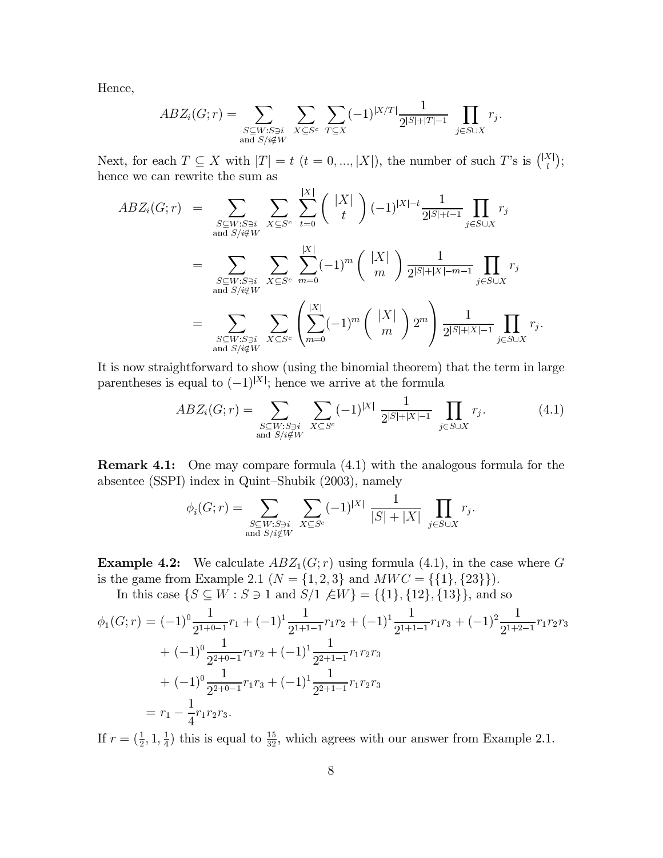Hence,

$$
ABZ_i(G;r) = \sum_{\substack{S \subseteq W:S \ni i \\ \text{and } S/i \notin W}} \sum_{X \subseteq S^c} \sum_{T \subseteq X} (-1)^{|X/T|} \frac{1}{2^{|S|+|T|-1}} \prod_{j \in S \cup X} r_j.
$$

Next, for each  $T \subseteq X$  with  $|T| = t$   $(t = 0, ..., |X|)$ , the number of such T's is  $\binom{|X|}{t}$ ; hence we can rewrite the sum as  $\overline{1}$ 

$$
ABZ_i(G;r) = \sum_{\substack{S \subseteq W:S \ni i \\ \text{and } S/i \notin W}} \sum_{X \subseteq S^c} \sum_{t=0}^{|X|} {\binom{|X|}{t}} (-1)^{|X|-t} \frac{1}{2^{|S|+t-1}} \prod_{j \in S \cup X} r_j
$$
  

$$
= \sum_{\substack{S \subseteq W:S \ni i \\ \text{and } S/i \notin W}} \sum_{X \subseteq S^c} \sum_{m=0}^{|X|} (-1)^m {\binom{|X|}{m}} \frac{1}{2^{|S|+|X|-m-1}} \prod_{j \in S \cup X} r_j
$$
  

$$
= \sum_{\substack{S \subseteq W:S \ni i \\ \text{and } S/i \notin W}} \sum_{X \subseteq S^c} {\binom{|X|}{m=0}} (-1)^m {\binom{|X|}{m}} 2^m \frac{1}{2^{|S|+|X|-1}} \prod_{j \in S \cup X} r_j
$$

It is now straightforward to show (using the binomial theorem) that the term in large parentheses is equal to  $(-1)^{|X|}$ ; hence we arrive at the formula

$$
ABZ_i(G;r) = \sum_{\substack{S \subseteq W:S \ni i \\ \text{and } S/i \notin W}} \sum_{X \subseteq S^c} (-1)^{|X|} \frac{1}{2^{|S|+|X|-1}} \prod_{j \in S \cup X} r_j.
$$
 (4.1)

**Remark 4.1:** One may compare formula  $(4.1)$  with the analogous formula for the absentee (SSPI) index in Quint-Shubik (2003), namely

$$
\phi_i(G;r) = \sum_{\substack{S \subseteq W:S \ni i \\ \text{and } S/i \notin W}} \sum_{X \subseteq S^c} (-1)^{|X|} \frac{1}{|S| + |X|} \prod_{j \in S \cup X} r_j.
$$

**Example 4.2:** We calculate  $ABZ_1(G; r)$  using formula (4.1), in the case where G is the game from Example 2.1 ( $N = \{1, 2, 3\}$  and  $MWC = \{\{1\}, \{23\}\}\$ .

In this case  $\{S \subseteq W : S \ni 1 \text{ and } S/1 \notin W\} = \{\{1\}, \{12\}, \{13\}\}\$ , and so

$$
\phi_1(G;r) = (-1)^0 \frac{1}{2^{1+0-1}} r_1 + (-1)^1 \frac{1}{2^{1+1-1}} r_1 r_2 + (-1)^1 \frac{1}{2^{1+1-1}} r_1 r_3 + (-1)^2 \frac{1}{2^{1+2-1}} r_1 r_2 r_3
$$
  
+ 
$$
(-1)^0 \frac{1}{2^{2+0-1}} r_1 r_2 + (-1)^1 \frac{1}{2^{2+1-1}} r_1 r_2 r_3
$$
  
+ 
$$
(-1)^0 \frac{1}{2^{2+0-1}} r_1 r_3 + (-1)^1 \frac{1}{2^{2+1-1}} r_1 r_2 r_3
$$
  
= 
$$
r_1 - \frac{1}{4} r_1 r_2 r_3.
$$

If  $r = (\frac{1}{2}, 1, \frac{1}{4})$  this is equal to  $\frac{15}{32}$ , which agrees with our answer from Example 2.1.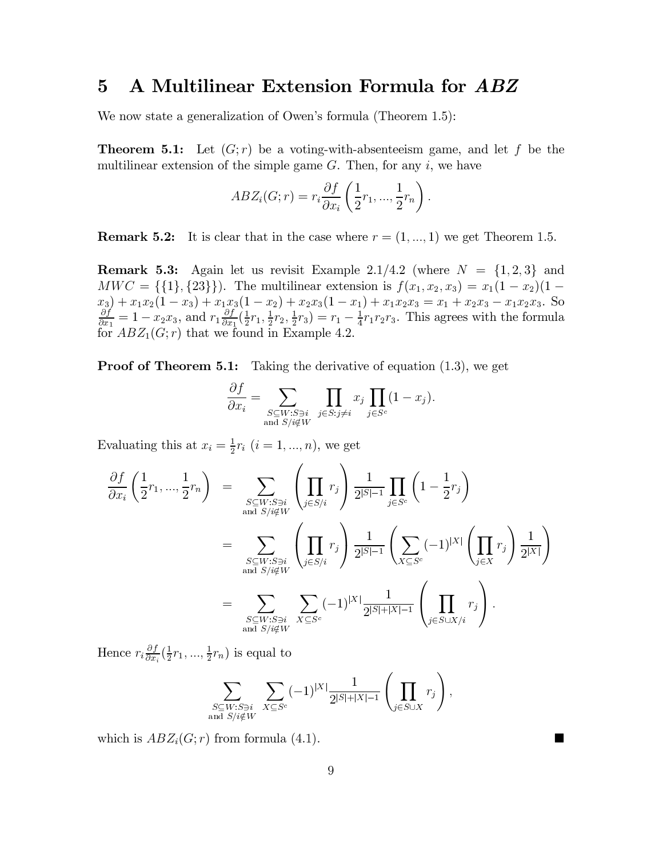### $\overline{5}$ A Multilinear Extension Formula for ABZ

We now state a generalization of Owen's formula (Theorem 1.5):

**Theorem 5.1:** Let  $(G; r)$  be a voting-with-absenteeism game, and let f be the multilinear extension of the simple game  $G$ . Then, for any  $i$ , we have

$$
ABZ_i(G;r) = r_i \frac{\partial f}{\partial x_i} \left( \frac{1}{2} r_1, ..., \frac{1}{2} r_n \right).
$$

**Remark 5.2:** It is clear that in the case where  $r = (1, ..., 1)$  we get Theorem 1.5.

**Remark 5.3:** Again let us revisit Example 2.1/4.2 (where  $N = \{1, 2, 3\}$  and  $MWC = \{\{1\}, \{23\}\}\$ . The multilinear extension is  $f(x_1, x_2, x_3) = x_1(1 - x_2)(1 - x_3)$  $x_3$  +  $x_1x_2(1-x_3)$  +  $x_1x_3(1-x_2)$  +  $x_2x_3(1-x_1)$  +  $x_1x_2x_3 = x_1 + x_2x_3 - x_1x_2x_3$ . So <br>  $\frac{\partial f}{\partial x_1} = 1 - x_2x_3$ , and  $r_1 \frac{\partial f}{\partial x_1}(\frac{1}{2}r_1, \frac{1}{2}r_2, \frac{1}{2}r_3) = r_1 - \frac{1}{4}r_1r_2r_3$ . This agrees with the

**Proof of Theorem 5.1:** Taking the derivative of equation  $(1.3)$ , we get

$$
\frac{\partial f}{\partial x_i} = \sum_{\substack{S \subseteq W: S \ni i \\ \text{and } S/i \notin W}} \prod_{j \in S: j \neq i} x_j \prod_{j \in S^c} (1 - x_j)
$$

Evaluating this at  $x_i = \frac{1}{2}r_i$   $(i = 1, ..., n)$ , we get

$$
\frac{\partial f}{\partial x_i} \left( \frac{1}{2} r_1, ..., \frac{1}{2} r_n \right) = \sum_{\substack{S \subseteq W : S \ni i \\ \text{and } S/i \notin W}} \left( \prod_{j \in S/i} r_j \right) \frac{1}{2^{|S|-1}} \prod_{j \in S^c} \left( 1 - \frac{1}{2} r_j \right)
$$

$$
= \sum_{\substack{S \subseteq W : S \ni i \\ \text{and } S/i \notin W}} \left( \prod_{j \in S/i} r_j \right) \frac{1}{2^{|S|-1}} \left( \sum_{X \subseteq S^c} (-1)^{|X|} \left( \prod_{j \in X} r_j \right) \frac{1}{2^{|X|}} \right)
$$

$$
= \sum_{\substack{S \subseteq W : S \ni i \\ \text{and } S/i \notin W}} \sum_{X \subseteq S^c} (-1)^{|X|} \frac{1}{2^{|S|+|X|-1}} \left( \prod_{j \in S \cup X/i} r_j \right).
$$

Hence  $r_i \frac{\partial f}{\partial x_i}(\frac{1}{2}r_1, ..., \frac{1}{2}r_n)$  is equal to

$$
\sum_{\substack{S \subseteq W: S \ni i \\ \text{and } S/i \notin W}} \sum_{X \subseteq S^c} (-1)^{|X|} \frac{1}{2^{|S| + |X| - 1}} \left( \prod_{j \in S \cup X} r_j \right).
$$

which is  $ABZ_i(G; r)$  from formula (4.1).

■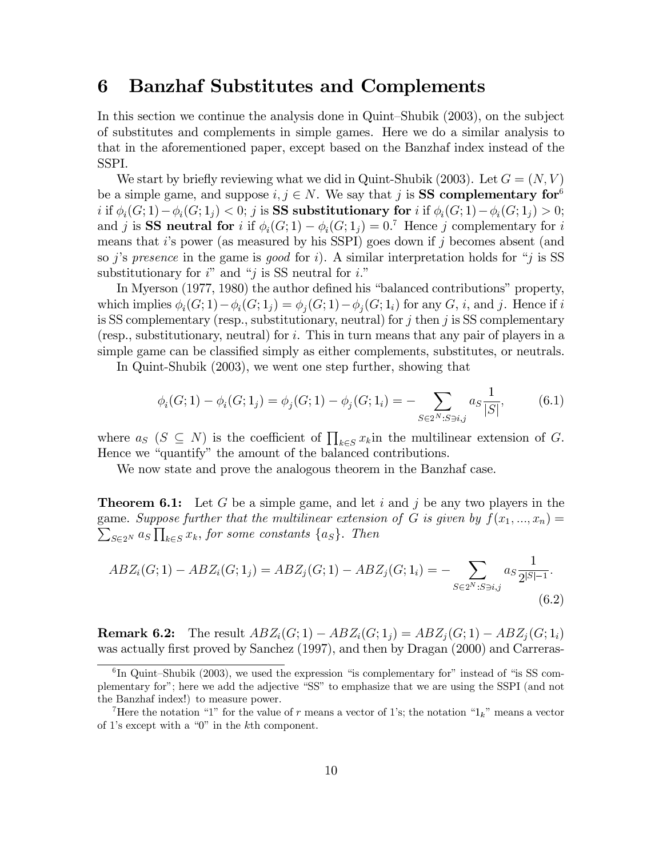#### **Banzhaf Substitutes and Complements** 6

In this section we continue the analysis done in Quint-Shubik (2003), on the subject of substitutes and complements in simple games. Here we do a similar analysis to that in the aforementioned paper, except based on the Banzhaf index instead of the SSPI.

We start by briefly reviewing what we did in Quint-Shubik (2003). Let  $G = (N, V)$ be a simple game, and suppose  $i, j \in N$ . We say that j is **SS** complementary for <sup>6</sup> i if  $\phi_i(G; 1) - \phi_i(G; 1_i) < 0$ ; j is SS substitutionary for i if  $\phi_i(G; 1) - \phi_i(G; 1_i) > 0$ ; and j is SS neutral for i if  $\phi_i(G; 1) - \phi_i(G; 1_i) = 0$ .<sup>7</sup> Hence j complementary for i means that i's power (as measured by his SSPI) goes down if j becomes absent (and so j's presence in the game is good for i). A similar interpretation holds for "j is SS substitutionary for  $i^{\prime\prime}$  and "j is SS neutral for i."

In Myerson (1977, 1980) the author defined his "balanced contributions" property, which implies  $\phi_i(G; 1) - \phi_i(G; 1_i) = \phi_i(G; 1) - \phi_i(G; 1_i)$  for any G, i, and j. Hence if i is SS complementary (resp., substitutionary, neutral) for j then j is SS complementary (resp., substitutionary, neutral) for i. This in turn means that any pair of players in a simple game can be classified simply as either complements, substitutes, or neutrals.

In Quint-Shubik (2003), we went one step further, showing that

$$
\phi_i(G; 1) - \phi_i(G; 1_j) = \phi_j(G; 1) - \phi_j(G; 1_i) = - \sum_{S \in 2^N : S \ni i, j} a_S \frac{1}{|S|}, \tag{6.1}
$$

where  $a_S$  ( $S \subseteq N$ ) is the coefficient of  $\prod_{k \in S} x_k$  in the multilinear extension of G. Hence we "quantify" the amount of the balanced contributions.

We now state and prove the analogous theorem in the Banzhaf case.

**Theorem 6.1:** Let G be a simple game, and let i and j be any two players in the game. Suppose further that the multilinear extension of G is given by  $f(x_1, ..., x_n) =$  $\sum_{S \in 2^N} a_S \prod_{k \in S} x_k$ , for some constants  $\{a_S\}$ . Then

$$
ABZ_i(G; 1) - ABZ_i(G; 1_j) = ABZ_j(G; 1) - ABZ_j(G; 1_i) = -\sum_{S \in 2^N : S \ni i,j} a_S \frac{1}{2^{|S|-1}}.
$$
\n(6.2)

**Remark 6.2:** The result  $ABZ_i(G; 1) - ABZ_i(G; 1_j) = ABZ_i(G; 1) - ABZ_i(G; 1_i)$ was actually first proved by Sanchez (1997), and then by Dragan (2000) and Carreras-

 ${}^{6}$ In Quint-Shubik (2003), we used the expression "is complementary for" instead of "is SS complementary for"; here we add the adjective "SS" to emphasize that we are using the SSPI (and not the Banzhaf index!) to measure power.

<sup>&</sup>lt;sup>7</sup>Here the notation "1" for the value of r means a vector of 1's; the notation "1<sub>k</sub>" means a vector of 1's except with a " $0$ " in the k<sup>th</sup> component.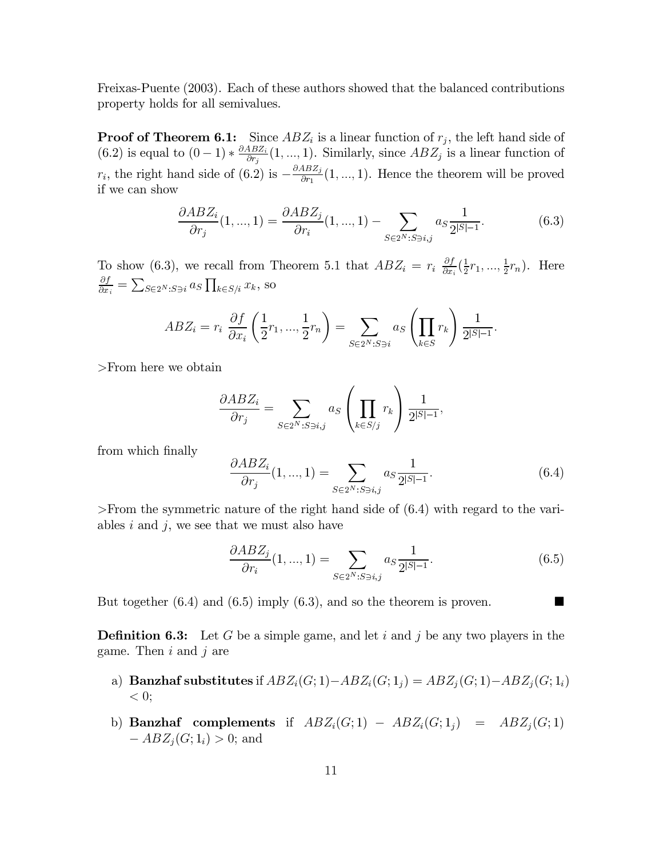Freixas-Puente (2003). Each of these authors showed that the balanced contributions property holds for all semivalues.

**Proof of Theorem 6.1:** Since  $ABZ_i$  is a linear function of  $r_i$ , the left hand side of (6.2) is equal to  $(0-1) * \frac{\partial ABZ_i}{\partial r_j}(1, ..., 1)$ . Similarly, since  $ABZ_j$  is a linear function of  $r_i$ , the right hand side of (6.2) is  $-\frac{\partial ABZ_j}{\partial r_1}(1,...,1)$ . Hence the theorem will be proved if we can show

$$
\frac{\partial ABZ_i}{\partial r_j}(1,...,1) = \frac{\partial ABZ_j}{\partial r_i}(1,...,1) - \sum_{S \in 2^N : S \ni i,j} a_S \frac{1}{2^{|S|-1}}.
$$
(6.3)

To show (6.3), we recall from Theorem 5.1 that  $ABZ_i = r_i \frac{\partial f}{\partial x_i}(\frac{1}{2}r_1, ..., \frac{1}{2}r_n)$ . Here  $\frac{\partial f}{\partial x_i} = \sum_{S \in 2^N : S \ni i} a_S \prod_{k \in S/i} x_k$ , so

$$
ABZ_i = r_i \frac{\partial f}{\partial x_i} \left( \frac{1}{2} r_1, ..., \frac{1}{2} r_n \right) = \sum_{S \in 2^N : S \ni i} a_S \left( \prod_{k \in S} r_k \right) \frac{1}{2^{|S|-1}}.
$$

 $>$ From here we obtain

$$
\frac{\partial ABZ_i}{\partial r_j} = \sum_{S \in 2^N : S \ni i,j} a_S \left( \prod_{k \in S/j} r_k \right) \frac{1}{2^{|S|-1}},
$$

from which finally

$$
\frac{\partial ABZ_i}{\partial r_j}(1, ..., 1) = \sum_{S \in 2^N : S \ni i, j} a_S \frac{1}{2^{|S|-1}}.
$$
\n(6.4)

>From the symmetric nature of the right hand side of  $(6.4)$  with regard to the variables  $i$  and  $j$ , we see that we must also have

$$
\frac{\partial ABZ_j}{\partial r_i}(1,...,1) = \sum_{S \in 2^N : S \ni i,j} a_S \frac{1}{2^{|S|-1}}.
$$
\n(6.5)

▅

But together  $(6.4)$  and  $(6.5)$  imply  $(6.3)$ , and so the theorem is proven.

**Definition 6.3:** Let G be a simple game, and let i and j be any two players in the game. Then  $i$  and  $j$  are

- a) Banzhaf substitutes if  $ABZ_i(G; 1) ABZ_i(G; 1_j) = ABZ_j(G; 1) ABZ_j(G; 1_i)$  $< 0$ ;
- b) **Banzhaf** complements if  $ABZ_i(G;1) ABZ_i(G;1_j) = ABZ_j(G;1)$  $-ABZ_i(G; 1_i) > 0;$  and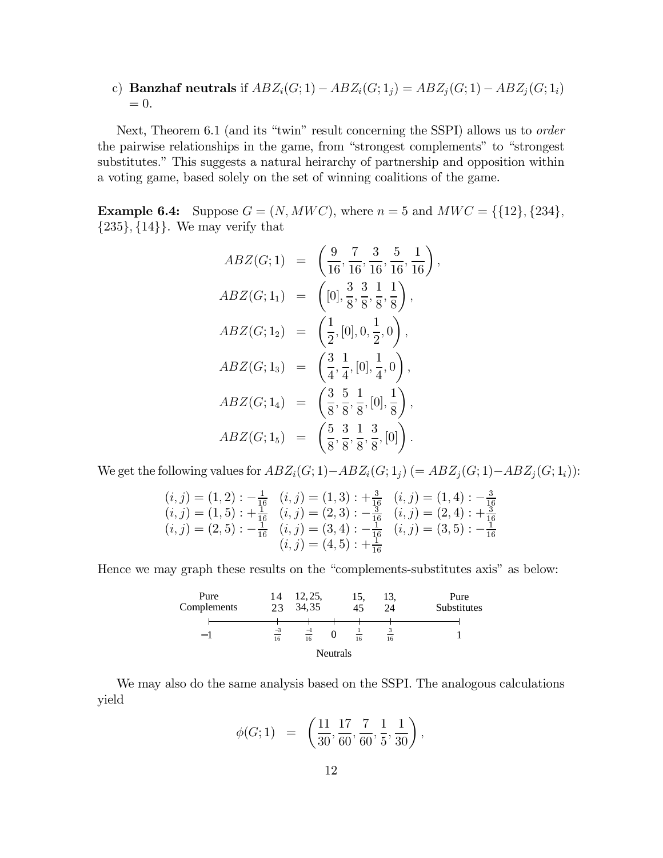c) **Banzhaf neutrals** if  $ABZ_i(G; 1) - ABZ_i(G; 1_j) = ABZ_j(G; 1) - ABZ_j(G; 1_i)$  $= 0.$ 

Next, Theorem 6.1 (and its "twin" result concerning the SSPI) allows us to *order* the pairwise relationships in the game, from "strongest complements" to "strongest substitutes." This suggests a natural heirarchy of partnership and opposition within a voting game, based solely on the set of winning coalitions of the game.

**Example 6.4:** Suppose  $G = (N, MWC)$ , where  $n = 5$  and  $MWC = \{\{12\}, \{234\},\}$  ${235}, {14}$ . We may verify that

$$
ABZ(G;1) = \left(\frac{9}{16}, \frac{7}{16}, \frac{3}{16}, \frac{5}{16}, \frac{1}{16}\right),
$$
  
\n
$$
ABZ(G;1_1) = \left([0], \frac{3}{8}, \frac{3}{8}, \frac{1}{8}, \frac{1}{8}\right),
$$
  
\n
$$
ABZ(G;1_2) = \left(\frac{1}{2}, [0], 0, \frac{1}{2}, 0\right),
$$
  
\n
$$
ABZ(G;1_3) = \left(\frac{3}{4}, \frac{1}{4}, [0], \frac{1}{4}, 0\right),
$$
  
\n
$$
ABZ(G;1_4) = \left(\frac{3}{8}, \frac{5}{8}, \frac{1}{8}, [0], \frac{1}{8}\right),
$$
  
\n
$$
ABZ(G;1_5) = \left(\frac{5}{8}, \frac{3}{8}, \frac{1}{8}, \frac{3}{8}, [0]\right).
$$

We get the following values for  $ABZ_i(G; 1) - ABZ_i(G; 1_i)$  (=  $ABZ_i(G; 1) - ABZ_i(G; 1_i)$ ):

$$
(i, j) = (1, 2) : -\frac{1}{16} \quad (i, j) = (1, 3) : +\frac{3}{16} \quad (i, j) = (1, 4) : -\frac{3}{16}
$$
\n
$$
(i, j) = (1, 5) : +\frac{1}{16} \quad (i, j) = (2, 3) : -\frac{3}{16} \quad (i, j) = (2, 4) : +\frac{3}{16}
$$
\n
$$
(i, j) = (2, 5) : -\frac{1}{16} \quad (i, j) = (3, 4) : -\frac{1}{16} \quad (i, j) = (3, 5) : -\frac{1}{16}
$$
\n
$$
(i, j) = (4, 5) : +\frac{1}{16}
$$

Hence we may graph these results on the "complements-substitutes axis" as below:

| Pure<br>Complements | 14<br>23   | 12, 25,<br>34,35 |                 | 15.<br>$\overline{45}$ | 13.<br>24 | Pure<br>Substitutes |
|---------------------|------------|------------------|-----------------|------------------------|-----------|---------------------|
| - 1                 | $-3$<br>16 | $\equiv$<br>16   |                 | 16                     | 16        |                     |
|                     |            |                  | <b>Neutrals</b> |                        |           |                     |

We may also do the same analysis based on the SSPI. The analogous calculations yield

$$
\phi(G;1) = \left(\frac{11}{30}, \frac{17}{60}, \frac{7}{60}, \frac{1}{5}, \frac{1}{30}\right),
$$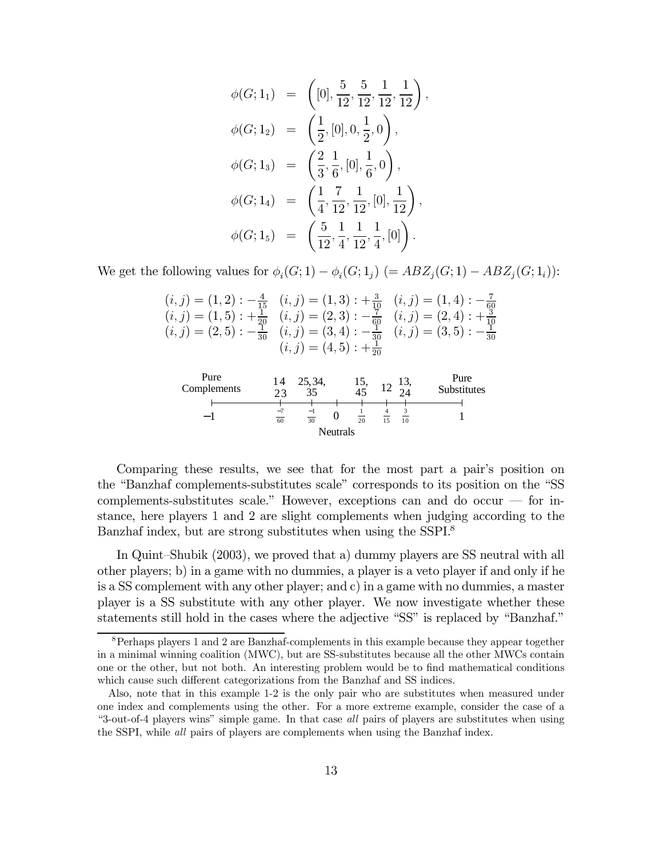$$
\begin{aligned}\n\phi(G; 1_1) &= \left( [0], \frac{5}{12}, \frac{5}{12}, \frac{1}{12}, \frac{1}{12} \right), \\
\phi(G; 1_2) &= \left( \frac{1}{2}, [0], 0, \frac{1}{2}, 0 \right), \\
\phi(G; 1_3) &= \left( \frac{2}{3}, \frac{1}{6}, [0], \frac{1}{6}, 0 \right), \\
\phi(G; 1_4) &= \left( \frac{1}{4}, \frac{7}{12}, \frac{1}{12}, [0], \frac{1}{12} \right), \\
\phi(G; 1_5) &= \left( \frac{5}{12}, \frac{1}{4}, \frac{1}{12}, \frac{1}{4}, [0] \right).\n\end{aligned}
$$

We get the following values for  $\phi_i(G; 1) - \phi_i(G; 1_j)$  (=  $ABZ_j(G; 1) - ABZ_j(G; 1_i)$ ):

| $(i, j) = (1, 2) : -\frac{4}{15}$ $(i, j) = (1, 3) : +\frac{3}{10}$ $(i, j) = (1, 4) : -\frac{7}{60}$ |  |
|-------------------------------------------------------------------------------------------------------|--|
| $(i, j) = (1, 5) : +\frac{1}{20}$ $(i, j) = (2, 3) : -\frac{7}{60}$ $(i, j) = (2, 4) : +\frac{3}{10}$ |  |
| $(i, j) = (2, 5) : -\frac{1}{30}$ $(i, j) = (3, 4) : -\frac{1}{30}$ $(i, j) = (3, 5) : -\frac{1}{30}$ |  |
| $(i, j) = (4, 5) : +\frac{1}{20}$                                                                     |  |



Comparing these results, we see that for the most part a pair's position on the "Banzhaf complements-substitutes scale" corresponds to its position on the "SS complements-substitutes scale." However, exceptions can and do occur — for instance, here players 1 and 2 are slight complements when judging according to the Banzhaf index, but are strong substitutes when using the SSPI.<sup>8</sup>

In Quint-Shubik (2003), we proved that a) dummy players are SS neutral with all other players; b) in a game with no dummies, a player is a veto player if and only if he is a SS complement with any other player; and c) in a game with no dummies, a master player is a SS substitute with any other player. We now investigate whether these statements still hold in the cases where the adjective "SS" is replaced by "Banzhaf."

 $8$  Perhaps players 1 and 2 are Banzhaf-complements in this example because they appear together in a minimal winning coalition (MWC), but are SS-substitutes because all the other MWCs contain one or the other, but not both. An interesting problem would be to find mathematical conditions which cause such different categorizations from the Banzhaf and SS indices.

Also, note that in this example 1-2 is the only pair who are substitutes when measured under one index and complements using the other. For a more extreme example, consider the case of a "3-out-of-4 players wins" simple game. In that case all pairs of players are substitutes when using the SSPI, while all pairs of players are complements when using the Banzhaf index.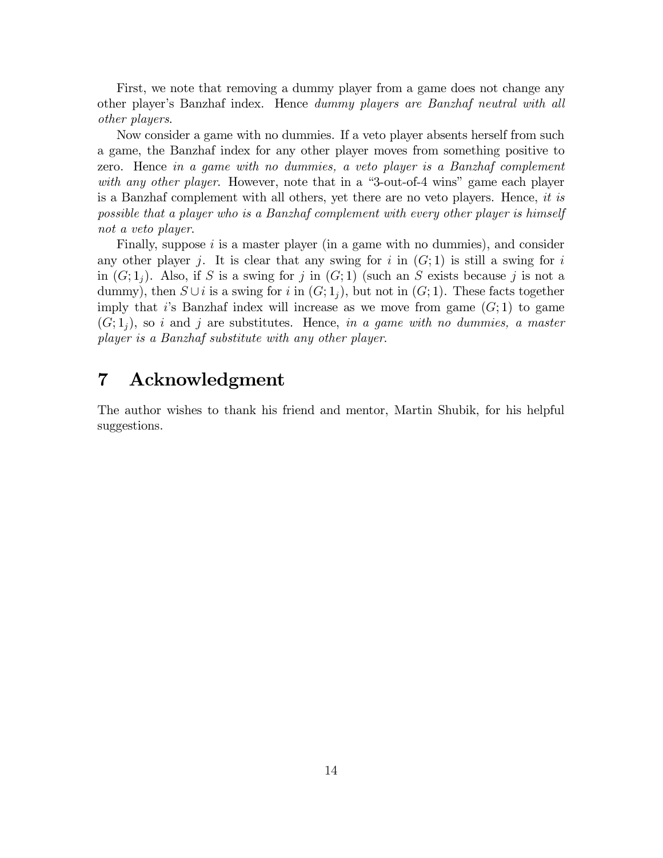First, we note that removing a dummy player from a game does not change any other player's Banzhaf index. Hence *dummy players are Banzhaf neutral with all* other players.

Now consider a game with no dummies. If a veto player absents herself from such a game, the Banzhaf index for any other player moves from something positive to zero. Hence in a game with no dummies, a veto player is a Banzhaf complement with any other player. However, note that in a "3-out-of-4 wins" game each player is a Banzhaf complement with all others, yet there are no veto players. Hence, it is possible that a player who is a Banzhaf complement with every other player is himself not a veto player.

Finally, suppose  $i$  is a master player (in a game with no dummies), and consider any other player j. It is clear that any swing for i in  $(G; 1)$  is still a swing for i in  $(G; 1<sub>i</sub>)$ . Also, if S is a swing for j in  $(G; 1)$  (such an S exists because j is not a dummy), then  $S \cup i$  is a swing for i in  $(G; 1_i)$ , but not in  $(G; 1)$ . These facts together imply that is Banzhaf index will increase as we move from game  $(G;1)$  to game  $(G; 1<sub>i</sub>)$ , so i and j are substitutes. Hence, in a game with no dummies, a master player is a Banzhaf substitute with any other player.

### $\overline{7}$ Acknowledgment

The author wishes to thank his friend and mentor, Martin Shubik, for his helpful suggestions.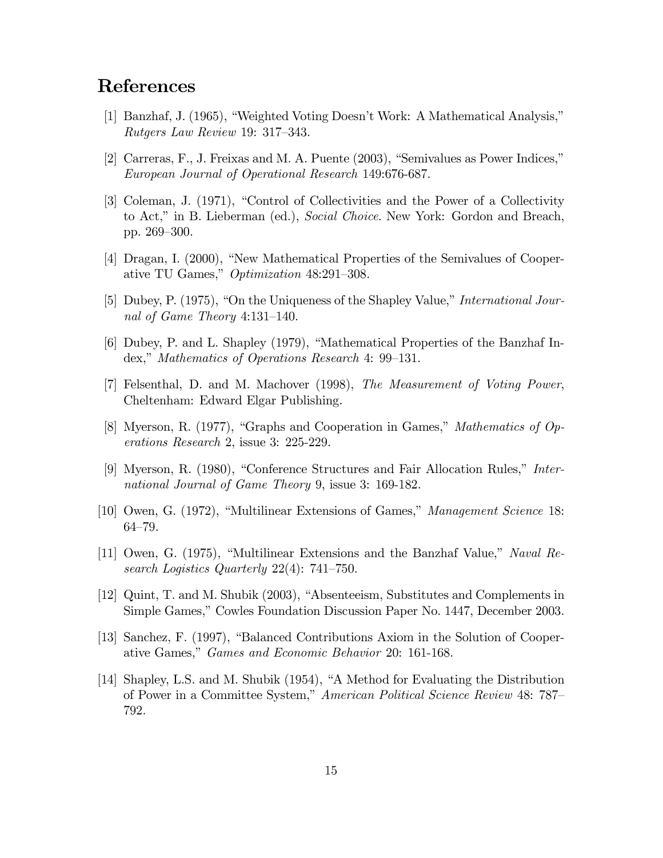# **References**

- [1] Banzhaf, J. (1965), "Weighted Voting Doesn't Work: A Mathematical Analysis," *Rutgers Law Review* 19: 317–343.
- [2] Carreras, F., J. Freixas and M. A. Puente (2003), "Semivalues as Power Indices," European Journal of Operational Research 149:676-687.
- [3] Coleman, J. (1971), "Control of Collectivities and the Power of a Collectivity to Act," in B. Lieberman (ed.), Social Choice. New York: Gordon and Breach, pp. 269–300.
- [4] Dragan, I. (2000), "New Mathematical Properties of the Semivalues of Cooperative TU Games," Optimization 48:291-308.
- [5] Dubey, P. (1975), "On the Uniqueness of the Shapley Value," *International Jour*nal of Game Theory 4:131-140.
- [6] Dubey, P. and L. Shapley (1979), "Mathematical Properties of the Banzhaf Index," Mathematics of Operations Research 4: 99–131.
- [7] Felsenthal, D. and M. Machover (1998), The Measurement of Voting Power, Cheltenham: Edward Elgar Publishing.
- [8] Myerson, R. (1977), "Graphs and Cooperation in Games," Mathematics of Op*erations Research 2, issue 3: 225-229.*
- [9] Myerson, R. (1980), "Conference Structures and Fair Allocation Rules," International Journal of Game Theory 9, issue 3: 169-182.
- [10] Owen, G. (1972), "Multilinear Extensions of Games," Management Science 18:  $64 - 79.$
- [11] Owen, G. (1975), "Multilinear Extensions and the Banzhaf Value," Naval Research Logistics Quarterly  $22(4)$ : 741–750.
- [12] Quint, T. and M. Shubik (2003), "Absenteeism, Substitutes and Complements in Simple Games," Cowles Foundation Discussion Paper No. 1447, December 2003.
- [13] Sanchez, F. (1997), "Balanced Contributions Axiom in the Solution of Cooperative Games," *Games and Economic Behavior* 20: 161-168.
- [14] Shapley, L.S. and M. Shubik (1954), "A Method for Evaluating the Distribution of Power in a Committee System," American Political Science Review 48: 787– 792.